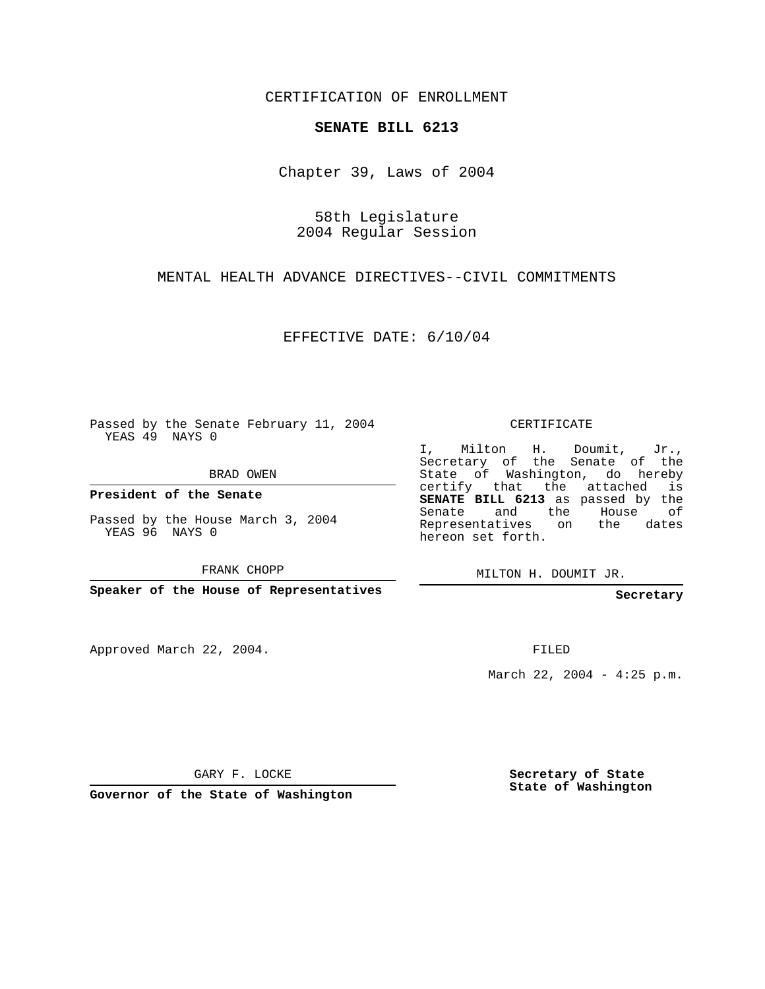CERTIFICATION OF ENROLLMENT

## **SENATE BILL 6213**

Chapter 39, Laws of 2004

58th Legislature 2004 Regular Session

MENTAL HEALTH ADVANCE DIRECTIVES--CIVIL COMMITMENTS

EFFECTIVE DATE: 6/10/04

Passed by the Senate February 11, 2004 YEAS 49 NAYS 0

BRAD OWEN

**President of the Senate**

Passed by the House March 3, 2004 YEAS 96 NAYS 0

FRANK CHOPP

**Speaker of the House of Representatives**

Approved March 22, 2004.

CERTIFICATE

I, Milton H. Doumit, Jr., Secretary of the Senate of the State of Washington, do hereby certify that the attached is **SENATE BILL 6213** as passed by the Senate and the House of Representatives on the dates hereon set forth.

MILTON H. DOUMIT JR.

**Secretary**

FILED

March 22, 2004 - 4:25 p.m.

GARY F. LOCKE

**Governor of the State of Washington**

**Secretary of State State of Washington**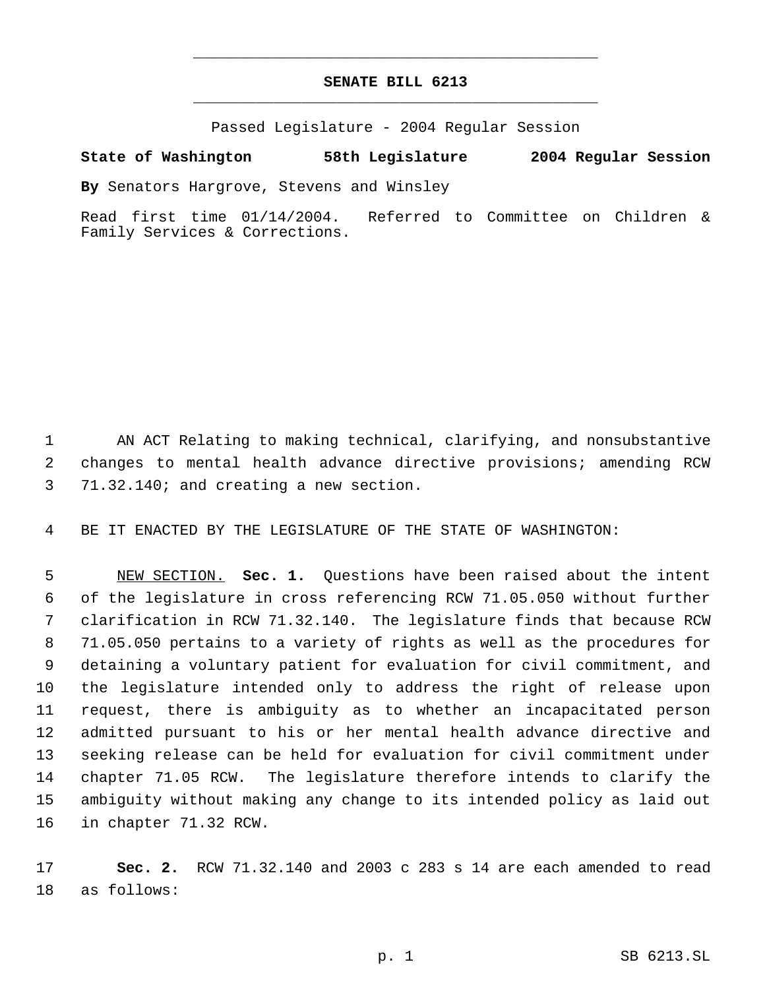## **SENATE BILL 6213** \_\_\_\_\_\_\_\_\_\_\_\_\_\_\_\_\_\_\_\_\_\_\_\_\_\_\_\_\_\_\_\_\_\_\_\_\_\_\_\_\_\_\_\_\_

\_\_\_\_\_\_\_\_\_\_\_\_\_\_\_\_\_\_\_\_\_\_\_\_\_\_\_\_\_\_\_\_\_\_\_\_\_\_\_\_\_\_\_\_\_

Passed Legislature - 2004 Regular Session

## **State of Washington 58th Legislature 2004 Regular Session**

**By** Senators Hargrove, Stevens and Winsley

Read first time 01/14/2004. Referred to Committee on Children & Family Services & Corrections.

 AN ACT Relating to making technical, clarifying, and nonsubstantive changes to mental health advance directive provisions; amending RCW 71.32.140; and creating a new section.

BE IT ENACTED BY THE LEGISLATURE OF THE STATE OF WASHINGTON:

 NEW SECTION. **Sec. 1.** Questions have been raised about the intent of the legislature in cross referencing RCW 71.05.050 without further clarification in RCW 71.32.140. The legislature finds that because RCW 71.05.050 pertains to a variety of rights as well as the procedures for detaining a voluntary patient for evaluation for civil commitment, and the legislature intended only to address the right of release upon request, there is ambiguity as to whether an incapacitated person admitted pursuant to his or her mental health advance directive and seeking release can be held for evaluation for civil commitment under chapter 71.05 RCW. The legislature therefore intends to clarify the ambiguity without making any change to its intended policy as laid out in chapter 71.32 RCW.

 **Sec. 2.** RCW 71.32.140 and 2003 c 283 s 14 are each amended to read as follows: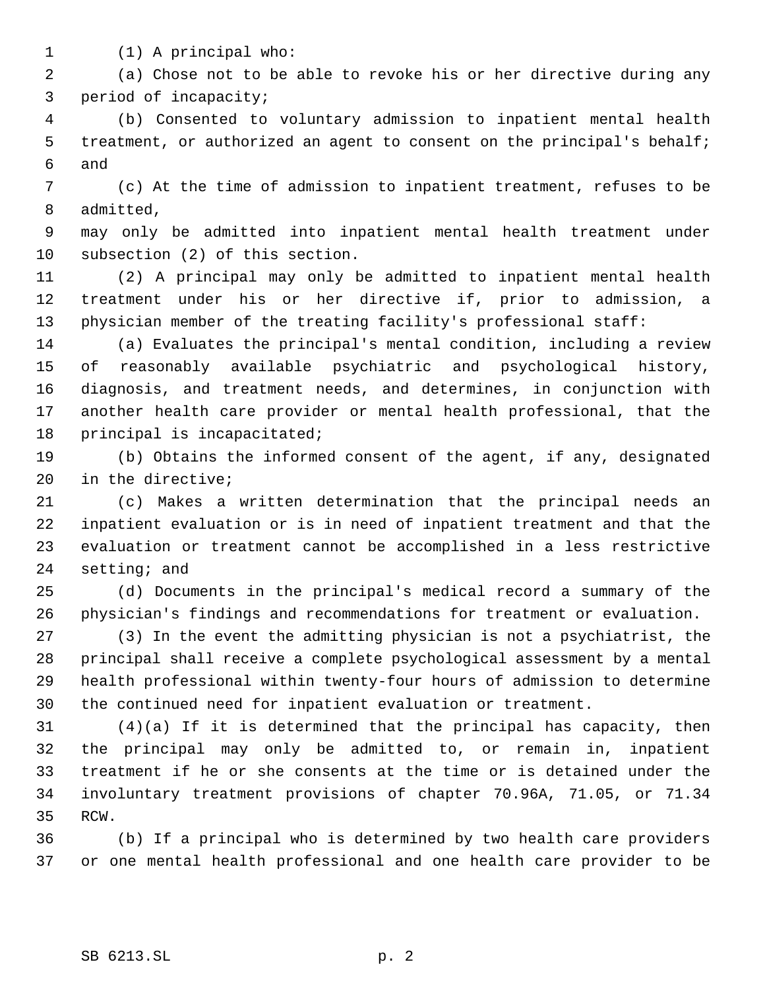(1) A principal who:

 (a) Chose not to be able to revoke his or her directive during any period of incapacity;

 (b) Consented to voluntary admission to inpatient mental health 5 treatment, or authorized an agent to consent on the principal's behalf; and

 (c) At the time of admission to inpatient treatment, refuses to be admitted,

 may only be admitted into inpatient mental health treatment under subsection (2) of this section.

 (2) A principal may only be admitted to inpatient mental health treatment under his or her directive if, prior to admission, a physician member of the treating facility's professional staff:

 (a) Evaluates the principal's mental condition, including a review of reasonably available psychiatric and psychological history, diagnosis, and treatment needs, and determines, in conjunction with another health care provider or mental health professional, that the principal is incapacitated;

 (b) Obtains the informed consent of the agent, if any, designated in the directive;

 (c) Makes a written determination that the principal needs an inpatient evaluation or is in need of inpatient treatment and that the evaluation or treatment cannot be accomplished in a less restrictive setting; and

 (d) Documents in the principal's medical record a summary of the physician's findings and recommendations for treatment or evaluation.

 (3) In the event the admitting physician is not a psychiatrist, the principal shall receive a complete psychological assessment by a mental health professional within twenty-four hours of admission to determine the continued need for inpatient evaluation or treatment.

 (4)(a) If it is determined that the principal has capacity, then the principal may only be admitted to, or remain in, inpatient treatment if he or she consents at the time or is detained under the involuntary treatment provisions of chapter 70.96A, 71.05, or 71.34 RCW.

 (b) If a principal who is determined by two health care providers or one mental health professional and one health care provider to be